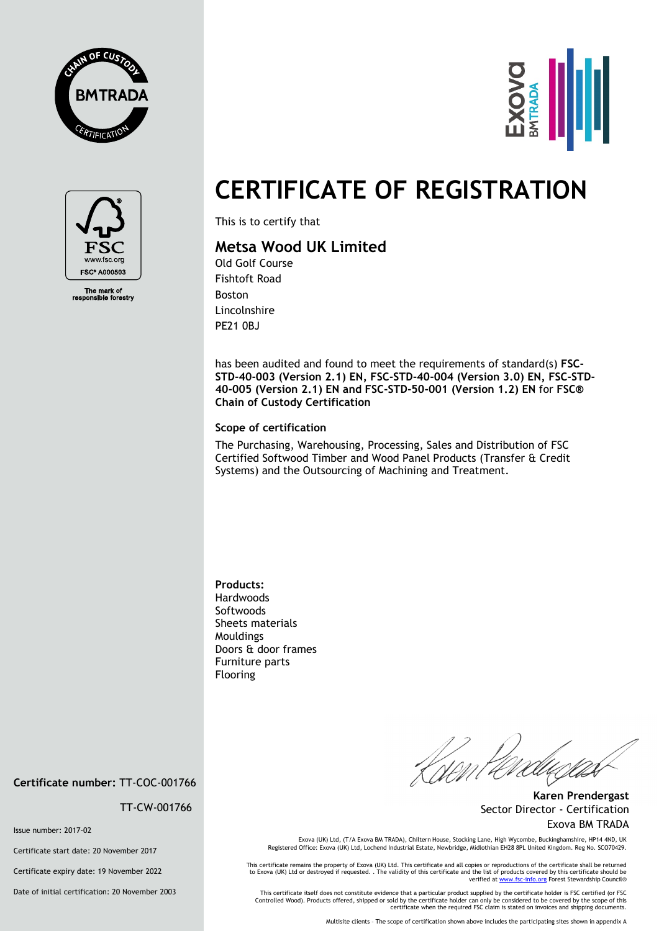





The mark of<br>ponsible fore

## **CERTIFICATE OF REGISTRATION**

This is to certify that

## **Metsa Wood UK Limited**

Old Golf Course Fishtoft Road Boston Lincolnshire PE21 0BJ

has been audited and found to meet the requirements of standard(s) **FSC-STD-40-003 (Version 2.1) EN, FSC-STD-40-004 (Version 3.0) EN, FSC-STD-40-005 (Version 2.1) EN and FSC-STD-50-001 (Version 1.2) EN** for **FSC® Chain of Custody Certification** 

## **Scope of certification**

The Purchasing, Warehousing, Processing, Sales and Distribution of FSC Certified Softwood Timber and Wood Panel Products (Transfer & Credit Systems) and the Outsourcing of Machining and Treatment.

**Products:**  Hardwoods **Softwoods** Sheets materials Mouldings Doors & door frames Furniture parts Flooring

|<br>|<br>| DM

**Karen Prendergast** Sector Director - Certification Exova BM TRADA

Exova (UK) Ltd, (T/A Exova BM TRADA), Chiltern House, Stocking Lane, High Wycombe, Buckinghamshire, HP14 4ND, UK Registered Office: Exova (UK) Ltd, Lochend Industrial Estate, Newbridge, Midlothian EH28 8PL United Kingdom. Reg No. SCO70429.

This certificate remains the property of Exova (UK) Ltd. This certificate and all copies or reproductions of the certificate shall be returned<br>to Exova (UK) Ltd or destroyed if requested. . The validity of this certificate

This certificate itself does not constitute evidence that a particular product supplied by the certificate holder is FSC certified (or FSC<br>Controlled Wood). Products offered, shipped or sold by the certificate holder can o

Multisite clients – The scope of certification shown above includes the participating sites shown in appendix A

**Certificate number:** TT-COC-001766

TT-CW-001766

Issue number: 2017-02

Certificate start date: 20 November 2017

Certificate expiry date: 19 November 2022

Date of initial certification: 20 November 2003